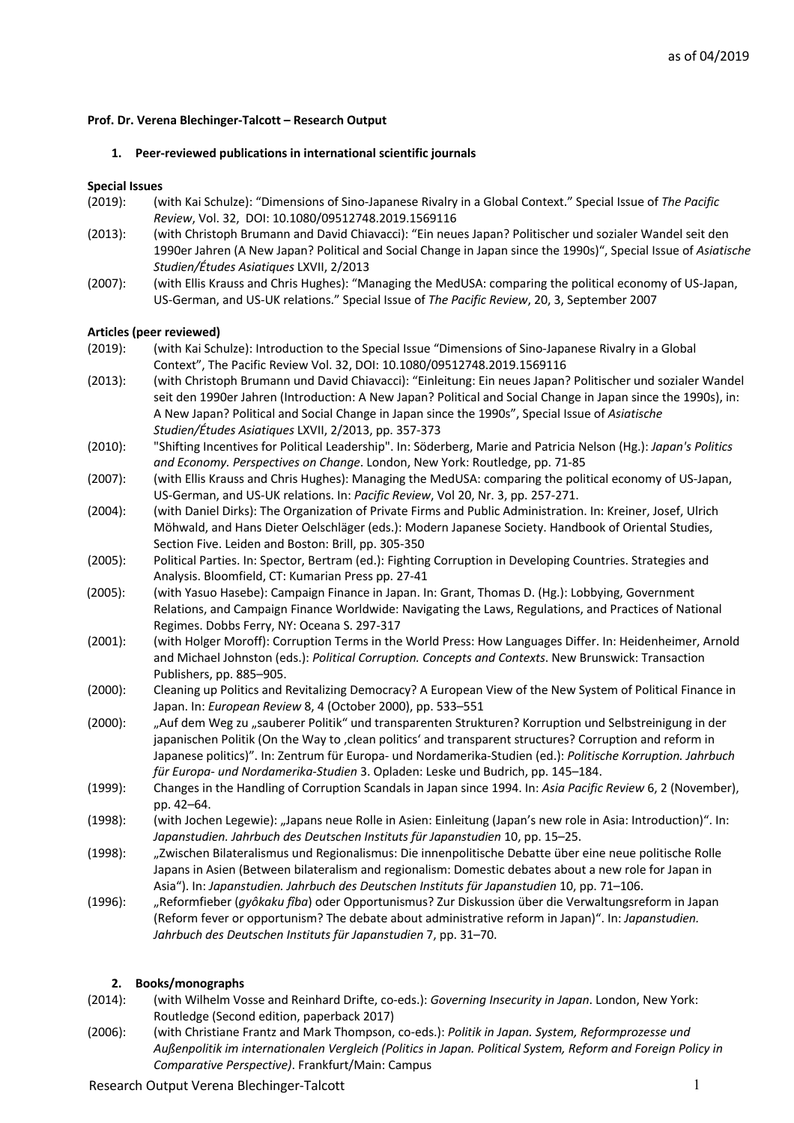## **Prof. Dr. Verena Blechinger-Talcott – Research Output**

### **1. Peer-reviewed publications in international scientific journals**

### **Special Issues**

- (2019): (with Kai Schulze): "Dimensions of Sino-Japanese Rivalry in a Global Context." Special Issue of *The Pacific Review*, Vol. 32, DOI: 10.1080/09512748.2019.1569116
- (2013): (with Christoph Brumann and David Chiavacci): "Ein neues Japan? Politischer und sozialer Wandel seit den 1990er Jahren (A New Japan? Political and Social Change in Japan since the 1990s)", Special Issue of *Asiatische Studien/Études Asiatiques* LXVII, 2/2013
- (2007): (with Ellis Krauss and Chris Hughes): "Managing the MedUSA: comparing the political economy of US-Japan, US-German, and US-UK relations." Special Issue of *The Pacific Review*, 20, 3, September 2007

#### **Articles (peer reviewed)**

- (2019): (with Kai Schulze): Introduction to the Special Issue "Dimensions of Sino-Japanese Rivalry in a Global Context", The Pacific Review Vol. 32, DOI: 10.1080/09512748.2019.1569116
- (2013): (with Christoph Brumann und David Chiavacci): "Einleitung: Ein neues Japan? Politischer und sozialer Wandel seit den 1990er Jahren (Introduction: A New Japan? Political and Social Change in Japan since the 1990s), in: A New Japan? Political and Social Change in Japan since the 1990s", Special Issue of *Asiatische Studien/Études Asiatiques* LXVII, 2/2013, pp. 357-373
- (2010): "Shifting Incentives for Political Leadership". In: Söderberg, Marie and Patricia Nelson (Hg.): *Japan's Politics and Economy. Perspectives on Change*. London, New York: Routledge, pp. 71-85
- (2007): (with Ellis Krauss and Chris Hughes): Managing the MedUSA: comparing the political economy of US-Japan, US-German, and US-UK relations. In: *Pacific Review*, Vol 20, Nr. 3, pp. 257-271.
- (2004): (with Daniel Dirks): The Organization of Private Firms and Public Administration. In: Kreiner, Josef, Ulrich Möhwald, and Hans Dieter Oelschläger (eds.): Modern Japanese Society. Handbook of Oriental Studies, Section Five. Leiden and Boston: Brill, pp. 305-350

(2005): Political Parties. In: Spector, Bertram (ed.): Fighting Corruption in Developing Countries. Strategies and Analysis. Bloomfield, CT: Kumarian Press pp. 27-41

- (2005): (with Yasuo Hasebe): Campaign Finance in Japan. In: Grant, Thomas D. (Hg.): Lobbying, Government Relations, and Campaign Finance Worldwide: Navigating the Laws, Regulations, and Practices of National Regimes. Dobbs Ferry, NY: Oceana S. 297-317
- (2001): (with Holger Moroff): Corruption Terms in the World Press: How Languages Differ. In: Heidenheimer, Arnold and Michael Johnston (eds.): *Political Corruption. Concepts and Contexts*. New Brunswick: Transaction Publishers, pp. 885–905.
- (2000): Cleaning up Politics and Revitalizing Democracy? A European View of the New System of Political Finance in Japan. In: *European Review* 8, 4 (October 2000), pp. 533–551
- (2000): "Auf dem Weg zu "sauberer Politik" und transparenten Strukturen? Korruption und Selbstreinigung in der japanischen Politik (On the Way to , clean politics' and transparent structures? Corruption and reform in Japanese politics)". In: Zentrum für Europa- und Nordamerika-Studien (ed.): *Politische Korruption. Jahrbuch für Europa- und Nordamerika-Studien* 3. Opladen: Leske und Budrich, pp. 145–184.
- (1999): Changes in the Handling of Corruption Scandals in Japan since 1994. In: *Asia Pacific Review* 6, 2 (November), pp. 42–64.
- (1998): (with Jochen Legewie): "Japans neue Rolle in Asien: Einleitung (Japan's new role in Asia: Introduction)". In: *Japanstudien. Jahrbuch des Deutschen Instituts für Japanstudien* 10, pp. 15–25.
- (1998): "Zwischen Bilateralismus und Regionalismus: Die innenpolitische Debatte über eine neue politische Rolle Japans in Asien (Between bilateralism and regionalism: Domestic debates about a new role for Japan in Asia"). In: *Japanstudien. Jahrbuch des Deutschen Instituts für Japanstudien* 10, pp. 71–106.
- (1996): "Reformfieber (*gyôkaku fîba*) oder Opportunismus? Zur Diskussion über die Verwaltungsreform in Japan (Reform fever or opportunism? The debate about administrative reform in Japan)". In: *Japanstudien. Jahrbuch des Deutschen Instituts für Japanstudien* 7, pp. 31–70.

### **2. Books/monographs**

- (2014): (with Wilhelm Vosse and Reinhard Drifte, co-eds.): *Governing Insecurity in Japan*. London, New York: Routledge (Second edition, paperback 2017)
- (2006): (with Christiane Frantz and Mark Thompson, co-eds.): *Politik in Japan. System, Reformprozesse und Außenpolitik im internationalen Vergleich (Politics in Japan. Political System, Reform and Foreign Policy in Comparative Perspective)*. Frankfurt/Main: Campus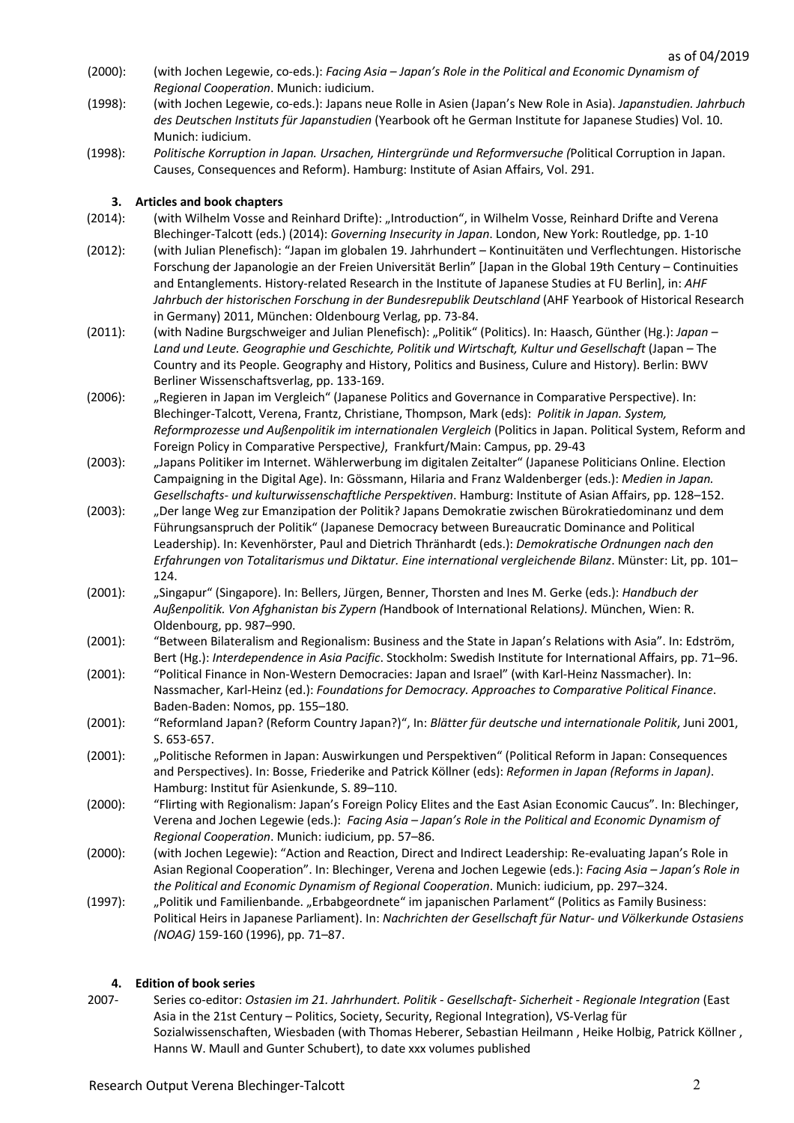- (2000): (with Jochen Legewie, co-eds.): *Facing Asia – Japan's Role in the Political and Economic Dynamism of Regional Cooperation*. Munich: iudicium.
- (1998): (with Jochen Legewie, co-eds.): Japans neue Rolle in Asien (Japan's New Role in Asia). *Japanstudien. Jahrbuch des Deutschen Instituts für Japanstudien* (Yearbook oft he German Institute for Japanese Studies) Vol. 10. Munich: iudicium.
- (1998): *Politische Korruption in Japan. Ursachen, Hintergründe und Reformversuche (*Political Corruption in Japan. Causes, Consequences and Reform). Hamburg: Institute of Asian Affairs, Vol. 291.

# **3. Articles and book chapters**

- (2014): (with Wilhelm Vosse and Reinhard Drifte): "Introduction", in Wilhelm Vosse, Reinhard Drifte and Verena Blechinger-Talcott (eds.) (2014): *Governing Insecurity in Japan*. London, New York: Routledge, pp. 1-10
- (2012): (with Julian Plenefisch): "Japan im globalen 19. Jahrhundert Kontinuitäten und Verflechtungen. Historische Forschung der Japanologie an der Freien Universität Berlin" [Japan in the Global 19th Century – Continuities and Entanglements. History-related Research in the Institute of Japanese Studies at FU Berlin], in: *AHF Jahrbuch der historischen Forschung in der Bundesrepublik Deutschland* (AHF Yearbook of Historical Research in Germany) 2011, München: Oldenbourg Verlag, pp. 73-84.
- (2011): (with Nadine Burgschweiger and Julian Plenefisch): "Politik" (Politics). In: Haasch, Günther (Hg.): *Japan – Land und Leute. Geographie und Geschichte, Politik und Wirtschaft, Kultur und Gesellschaft* (Japan – The Country and its People. Geography and History, Politics and Business, Culure and History). Berlin: BWV Berliner Wissenschaftsverlag, pp. 133-169.
- (2006): "Regieren in Japan im Vergleich" (Japanese Politics and Governance in Comparative Perspective). In: Blechinger-Talcott, Verena, Frantz, Christiane, Thompson, Mark (eds): *Politik in Japan. System, Reformprozesse und Außenpolitik im internationalen Vergleich* (Politics in Japan. Political System, Reform and Foreign Policy in Comparative Perspective*)*, Frankfurt/Main: Campus, pp. 29-43
- (2003): "Japans Politiker im Internet. Wählerwerbung im digitalen Zeitalter" (Japanese Politicians Online. Election Campaigning in the Digital Age). In: Gössmann, Hilaria and Franz Waldenberger (eds.): *Medien in Japan. Gesellschafts- und kulturwissenschaftliche Perspektiven*. Hamburg: Institute of Asian Affairs, pp. 128–152.
- (2003): "Der lange Weg zur Emanzipation der Politik? Japans Demokratie zwischen Bürokratiedominanz und dem Führungsanspruch der Politik" (Japanese Democracy between Bureaucratic Dominance and Political Leadership). In: Kevenhörster, Paul and Dietrich Thränhardt (eds.): *Demokratische Ordnungen nach den Erfahrungen von Totalitarismus und Diktatur. Eine international vergleichende Bilanz*. Münster: Lit, pp. 101– 124.
- (2001): "Singapur" (Singapore). In: Bellers, Jürgen, Benner, Thorsten and Ines M. Gerke (eds.): *Handbuch der Außenpolitik. Von Afghanistan bis Zypern (*Handbook of International Relations*)*. München, Wien: R. Oldenbourg, pp. 987–990.
- (2001): "Between Bilateralism and Regionalism: Business and the State in Japan's Relations with Asia". In: Edström, Bert (Hg.): *Interdependence in Asia Pacific*. Stockholm: Swedish Institute for International Affairs, pp. 71–96.
- (2001): "Political Finance in Non-Western Democracies: Japan and Israel" (with Karl-Heinz Nassmacher). In: Nassmacher, Karl-Heinz (ed.): *Foundations for Democracy. Approaches to Comparative Political Finance*. Baden-Baden: Nomos, pp. 155–180.
- (2001): "Reformland Japan? (Reform Country Japan?)", In: *Blätter für deutsche und internationale Politik*, Juni 2001, S. 653-657.
- (2001): "Politische Reformen in Japan: Auswirkungen und Perspektiven" (Political Reform in Japan: Consequences and Perspectives). In: Bosse, Friederike and Patrick Köllner (eds): *Reformen in Japan (Reforms in Japan)*. Hamburg: Institut für Asienkunde, S. 89–110.
- (2000): "Flirting with Regionalism: Japan's Foreign Policy Elites and the East Asian Economic Caucus". In: Blechinger, Verena and Jochen Legewie (eds.): *Facing Asia – Japan's Role in the Political and Economic Dynamism of Regional Cooperation*. Munich: iudicium, pp. 57–86.
- (2000): (with Jochen Legewie): "Action and Reaction, Direct and Indirect Leadership: Re-evaluating Japan's Role in Asian Regional Cooperation". In: Blechinger, Verena and Jochen Legewie (eds.): *Facing Asia – Japan's Role in the Political and Economic Dynamism of Regional Cooperation*. Munich: iudicium, pp. 297–324.
- (1997): "Politik und Familienbande. "Erbabgeordnete" im japanischen Parlament" (Politics as Family Business: Political Heirs in Japanese Parliament). In: *Nachrichten der Gesellschaft für Natur- und Völkerkunde Ostasiens (NOAG)* 159-160 (1996), pp. 71–87.

### **4. Edition of book series**

2007- Series co-editor: *Ostasien im 21. Jahrhundert. Politik - Gesellschaft- Sicherheit - Regionale Integration* (East Asia in the 21st Century – Politics, Society, Security, Regional Integration), VS-Verlag für Sozialwissenschaften, Wiesbaden (with Thomas Heberer, Sebastian Heilmann , Heike Holbig, Patrick Köllner , Hanns W. Maull and Gunter Schubert), to date xxx volumes published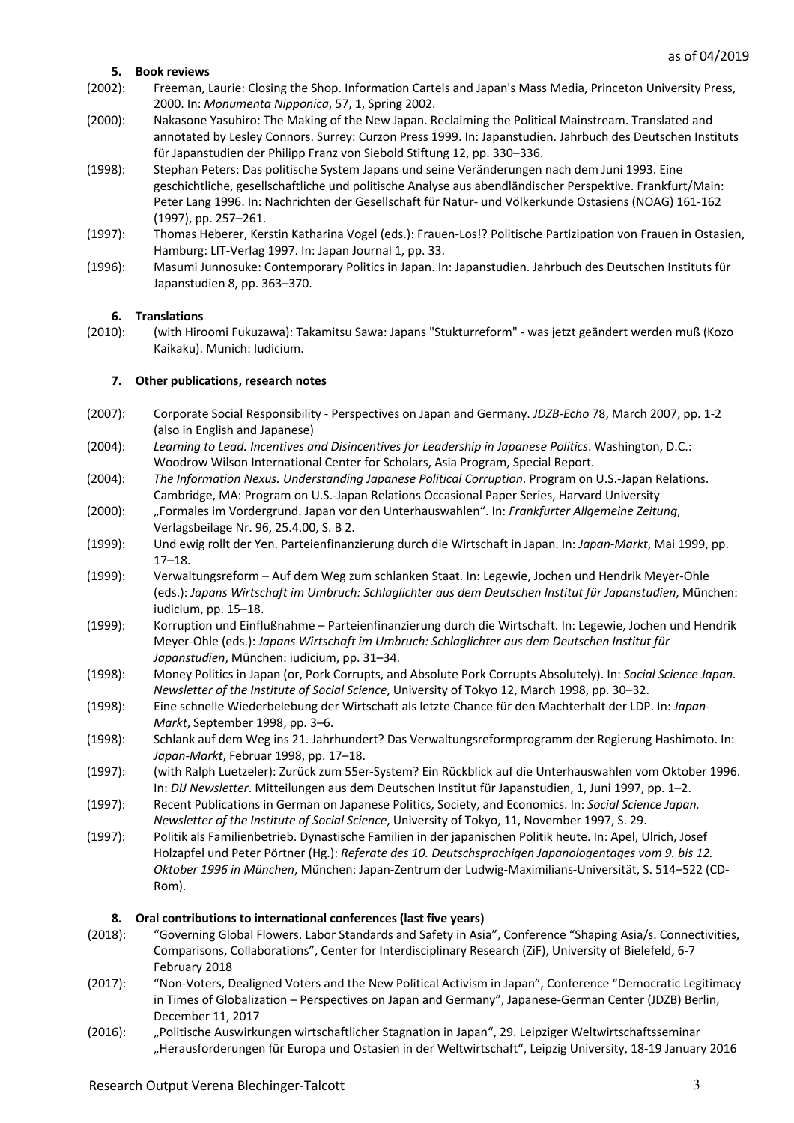## **5. Book reviews**

- (2002): Freeman, Laurie: Closing the Shop. Information Cartels and Japan's Mass Media, Princeton University Press, 2000. In: *Monumenta Nipponica*, 57, 1, Spring 2002.
- (2000): Nakasone Yasuhiro: The Making of the New Japan. Reclaiming the Political Mainstream. Translated and annotated by Lesley Connors. Surrey: Curzon Press 1999. In: Japanstudien. Jahrbuch des Deutschen Instituts für Japanstudien der Philipp Franz von Siebold Stiftung 12, pp. 330–336.
- (1998): Stephan Peters: Das politische System Japans und seine Veränderungen nach dem Juni 1993. Eine geschichtliche, gesellschaftliche und politische Analyse aus abendländischer Perspektive. Frankfurt/Main: Peter Lang 1996. In: Nachrichten der Gesellschaft für Natur- und Völkerkunde Ostasiens (NOAG) 161-162 (1997), pp. 257–261.
- (1997): Thomas Heberer, Kerstin Katharina Vogel (eds.): Frauen-Los!? Politische Partizipation von Frauen in Ostasien, Hamburg: LIT-Verlag 1997. In: Japan Journal 1, pp. 33.
- (1996): Masumi Junnosuke: Contemporary Politics in Japan. In: Japanstudien. Jahrbuch des Deutschen Instituts für Japanstudien 8, pp. 363–370.

### **6. Translations**

(2010): (with Hiroomi Fukuzawa): Takamitsu Sawa: Japans "Stukturreform" - was jetzt geändert werden muß (Kozo Kaikaku). Munich: Iudicium.

### **7. Other publications, research notes**

- (2007): Corporate Social Responsibility Perspectives on Japan and Germany. *JDZB-Echo* 78, March 2007, pp. 1-2 (also in English and Japanese)
- (2004): *Learning to Lead. Incentives and Disincentives for Leadership in Japanese Politics*. Washington, D.C.: Woodrow Wilson International Center for Scholars, Asia Program, Special Report.
- (2004): *The Information Nexus. Understanding Japanese Political Corruption*. Program on U.S.-Japan Relations. Cambridge, MA: Program on U.S.-Japan Relations Occasional Paper Series, Harvard University
- (2000): "Formales im Vordergrund. Japan vor den Unterhauswahlen". In: *Frankfurter Allgemeine Zeitung*, Verlagsbeilage Nr. 96, 25.4.00, S. B 2.
- (1999): Und ewig rollt der Yen. Parteienfinanzierung durch die Wirtschaft in Japan. In: *Japan-Markt*, Mai 1999, pp. 17–18.
- (1999): Verwaltungsreform Auf dem Weg zum schlanken Staat. In: Legewie, Jochen und Hendrik Meyer-Ohle (eds.): *Japans Wirtschaft im Umbruch: Schlaglichter aus dem Deutschen Institut für Japanstudien*, München: iudicium, pp. 15–18.
- (1999): Korruption und Einflußnahme Parteienfinanzierung durch die Wirtschaft. In: Legewie, Jochen und Hendrik Meyer-Ohle (eds.): *Japans Wirtschaft im Umbruch: Schlaglichter aus dem Deutschen Institut für Japanstudien*, München: iudicium, pp. 31–34.
- (1998): Money Politics in Japan (or, Pork Corrupts, and Absolute Pork Corrupts Absolutely). In: *Social Science Japan. Newsletter of the Institute of Social Science*, University of Tokyo 12, March 1998, pp. 30–32.
- (1998): Eine schnelle Wiederbelebung der Wirtschaft als letzte Chance für den Machterhalt der LDP. In: *Japan-Markt*, September 1998, pp. 3–6.
- (1998): Schlank auf dem Weg ins 21. Jahrhundert? Das Verwaltungsreformprogramm der Regierung Hashimoto. In: *Japan-Markt*, Februar 1998, pp. 17–18.
- (1997): (with Ralph Luetzeler): Zurück zum 55er-System? Ein Rückblick auf die Unterhauswahlen vom Oktober 1996. In: *DIJ Newsletter*. Mitteilungen aus dem Deutschen Institut für Japanstudien, 1, Juni 1997, pp. 1–2.
- (1997): Recent Publications in German on Japanese Politics, Society, and Economics. In: *Social Science Japan. Newsletter of the Institute of Social Science*, University of Tokyo, 11, November 1997, S. 29.
- (1997): Politik als Familienbetrieb. Dynastische Familien in der japanischen Politik heute. In: Apel, Ulrich, Josef Holzapfel und Peter Pörtner (Hg.): *Referate des 10. Deutschsprachigen Japanologentages vom 9. bis 12. Oktober 1996 in München*, München: Japan-Zentrum der Ludwig-Maximilians-Universität, S. 514–522 (CD-Rom).

### **8. Oral contributions to international conferences (last five years)**

- (2018): "Governing Global Flowers. Labor Standards and Safety in Asia", Conference "Shaping Asia/s. Connectivities, Comparisons, Collaborations", Center for Interdisciplinary Research (ZiF), University of Bielefeld, 6-7 February 2018
- (2017): "Non-Voters, Dealigned Voters and the New Political Activism in Japan", Conference "Democratic Legitimacy in Times of Globalization – Perspectives on Japan and Germany", Japanese-German Center (JDZB) Berlin, December 11, 2017
- (2016): "Politische Auswirkungen wirtschaftlicher Stagnation in Japan", 29. Leipziger Weltwirtschaftsseminar "Herausforderungen für Europa und Ostasien in der Weltwirtschaft", Leipzig University, 18-19 January 2016